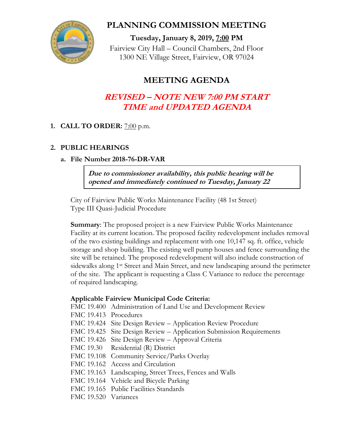

### **PLANNING COMMISSION MEETING**

**Tuesday, January 8, 2019, 7:00 PM** Fairview City Hall – Council Chambers, 2nd Floor 1300 NE Village Street, Fairview, OR 97024

## **MEETING AGENDA**

# **REVISED – NOTE NEW 7:00 PM START TIME and UPDATED AGENDA**

### **1. CALL TO ORDER:** 7:00 p.m.

#### **2. PUBLIC HEARINGS**

#### **a. File Number 2018-76-DR-VAR**

**Due to commissioner availability, this public hearing will be opened and immediately continued to Tuesday, January 22**

City of Fairview Public Works Maintenance Facility (48 1st Street) Type III Quasi-Judicial Procedure

**Summary**: The proposed project is a new Fairview Public Works Maintenance Facility at its current location. The proposed facility redevelopment includes removal of the two existing buildings and replacement with one 10,147 sq. ft. office, vehicle storage and shop building. The existing well pump houses and fence surrounding the site will be retained. The proposed redevelopment will also include construction of sidewalks along 1st Street and Main Street, and new landscaping around the perimeter of the site. The applicant is requesting a Class C Variance to reduce the percentage of required landscaping.

#### **Applicable Fairview Municipal Code Criteria:**

FMC 19.400 Administration of Land Use and Development Review

FMC 19.413 Procedures

- FMC 19.424 Site Design Review Application Review Procedure
- FMC 19.425 Site Design Review Application Submission Requirements
- FMC 19.426 Site Design Review Approval Criteria
- FMC 19.30 Residential (R) District
- FMC 19.108 Community Service/Parks Overlay
- FMC 19.162 Access and Circulation
- FMC 19.163 Landscaping, Street Trees, Fences and Walls
- FMC 19.164 Vehicle and Bicycle Parking
- FMC 19.165 Public Facilities Standards
- FMC 19.520 Variances